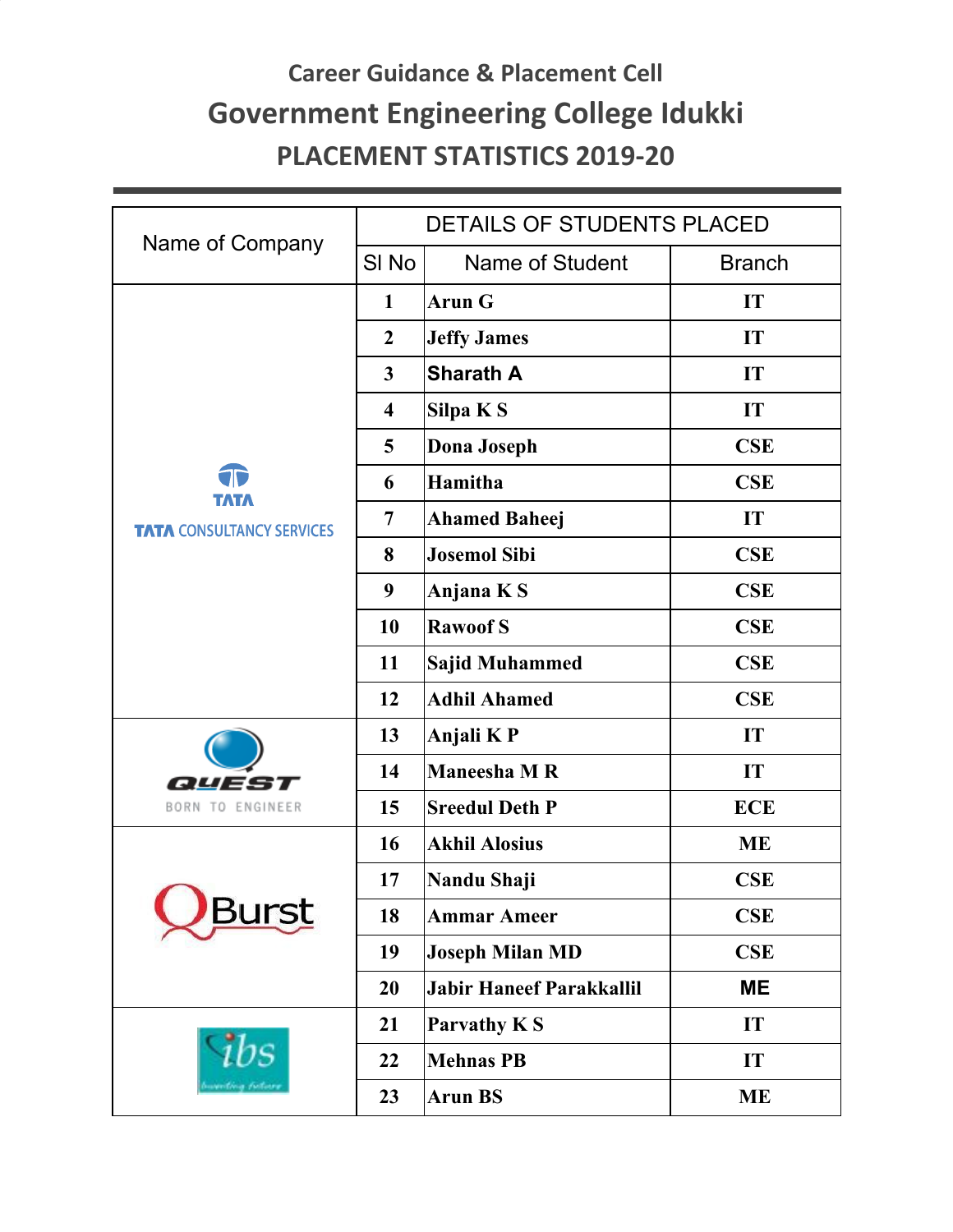## **Career Guidance & Placement Cell Government Engineering College Idukki PLACEMENT STATISTICS 2019-20**

|                                          | DETAILS OF STUDENTS PLACED |                                 |               |  |
|------------------------------------------|----------------------------|---------------------------------|---------------|--|
| Name of Company                          | SI <sub>No</sub>           | Name of Student                 | <b>Branch</b> |  |
| TATA<br><b>TATA CONSULTANCY SERVICES</b> | $\mathbf{1}$               | <b>Arun G</b>                   | IT            |  |
|                                          | $\boldsymbol{2}$           | <b>Jeffy James</b>              | IT            |  |
|                                          | $\mathbf{3}$               | <b>Sharath A</b>                | IT            |  |
|                                          | $\overline{\mathbf{4}}$    | Silpa K S                       | IT            |  |
|                                          | 5                          | <b>Dona Joseph</b>              | <b>CSE</b>    |  |
|                                          | 6                          | Hamitha                         | <b>CSE</b>    |  |
|                                          | $\overline{7}$             | <b>Ahamed Baheej</b>            | IT            |  |
|                                          | 8                          | <b>Josemol Sibi</b>             | <b>CSE</b>    |  |
|                                          | 9                          | Anjana KS                       | <b>CSE</b>    |  |
|                                          | 10                         | <b>Rawoof S</b>                 | <b>CSE</b>    |  |
|                                          | 11                         | <b>Sajid Muhammed</b>           | <b>CSE</b>    |  |
|                                          | 12                         | <b>Adhil Ahamed</b>             | <b>CSE</b>    |  |
| 55<br>BORN TO ENGINEER                   | 13                         | Anjali K P                      | IT            |  |
|                                          | 14                         | <b>Maneesha M R</b>             | IT            |  |
|                                          | 15                         | <b>Sreedul Deth P</b>           | <b>ECE</b>    |  |
| <b>Burst</b>                             | 16                         | <b>Akhil Alosius</b>            | <b>ME</b>     |  |
|                                          | 17                         | Nandu Shaji                     | <b>CSE</b>    |  |
|                                          | 18                         | <b>Ammar Ameer</b>              | <b>CSE</b>    |  |
|                                          | 19                         | <b>Joseph Milan MD</b>          | CSE           |  |
|                                          | 20                         | <b>Jabir Haneef Parakkallil</b> | <b>ME</b>     |  |
|                                          | 21                         | Parvathy KS                     | IT            |  |
|                                          | 22                         | <b>Mehnas PB</b>                | IT            |  |
|                                          | 23                         | <b>Arun BS</b>                  | <b>ME</b>     |  |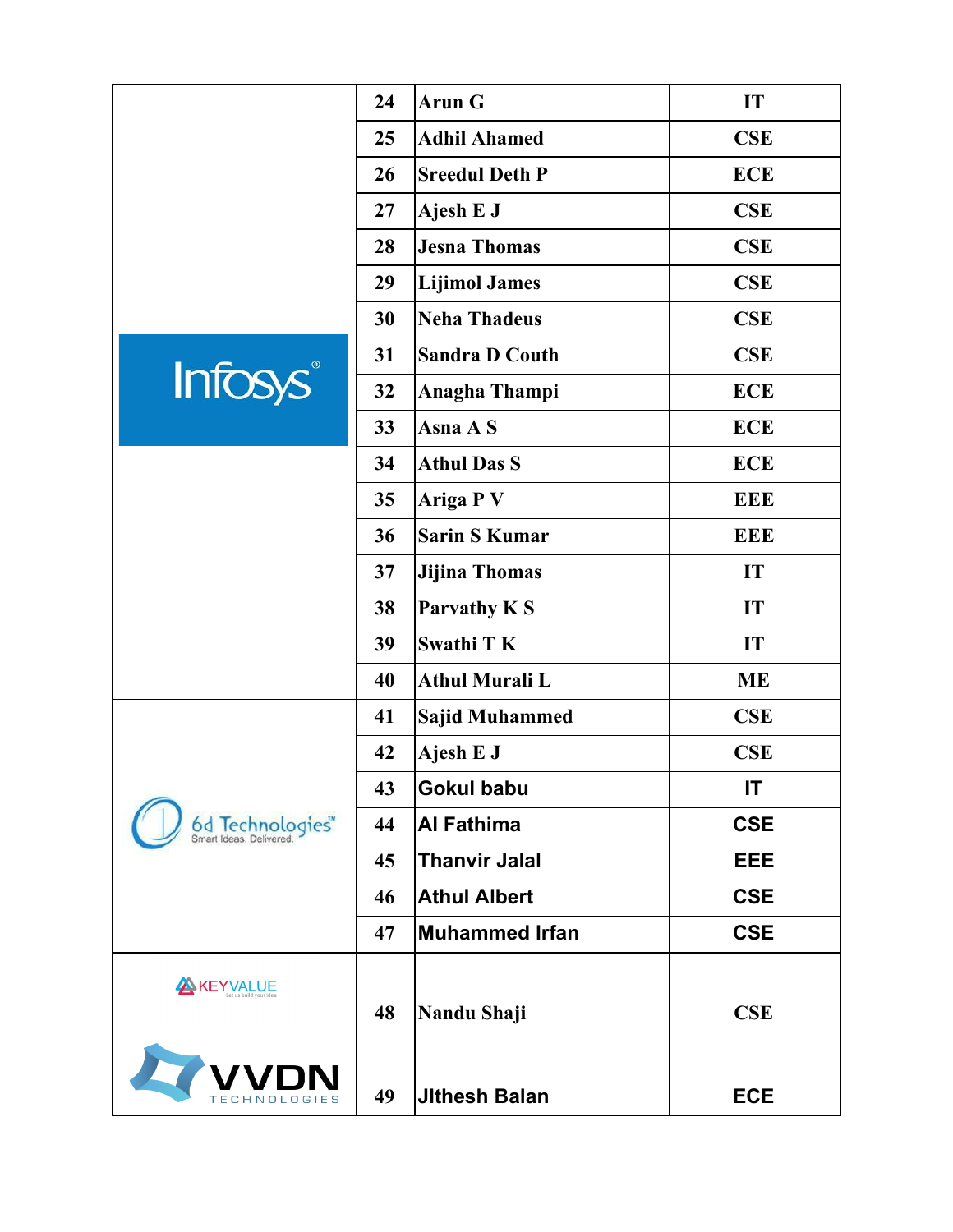|                 | 24 | <b>Arun G</b>         | IT         |
|-----------------|----|-----------------------|------------|
|                 | 25 | <b>Adhil Ahamed</b>   | <b>CSE</b> |
|                 | 26 | <b>Sreedul Deth P</b> | <b>ECE</b> |
|                 | 27 | Ajesh E J             | <b>CSE</b> |
|                 | 28 | <b>Jesna Thomas</b>   | <b>CSE</b> |
|                 | 29 | <b>Lijimol James</b>  | <b>CSE</b> |
|                 | 30 | <b>Neha Thadeus</b>   | <b>CSE</b> |
| <b>Infosys®</b> | 31 | <b>Sandra D Couth</b> | <b>CSE</b> |
|                 | 32 | <b>Anagha Thampi</b>  | <b>ECE</b> |
|                 | 33 | Asna A S              | <b>ECE</b> |
|                 | 34 | <b>Athul Das S</b>    | <b>ECE</b> |
|                 | 35 | <b>Ariga PV</b>       | <b>EEE</b> |
|                 | 36 | <b>Sarin S Kumar</b>  | <b>EEE</b> |
|                 | 37 | <b>Jijina Thomas</b>  | IT         |
|                 | 38 | Parvathy KS           | IT         |
|                 | 39 | <b>Swathi T K</b>     | IT         |
|                 | 40 | <b>Athul Murali L</b> | <b>ME</b>  |
| 6d Technologies | 41 | <b>Sajid Muhammed</b> | <b>CSE</b> |
|                 | 42 | Ajesh E J             | CSE        |
|                 | 43 | <b>Gokul babu</b>     | IT         |
|                 | 44 | <b>Al Fathima</b>     | <b>CSE</b> |
|                 | 45 | <b>Thanvir Jalal</b>  | <b>EEE</b> |
|                 | 46 | <b>Athul Albert</b>   | <b>CSE</b> |
|                 | 47 | <b>Muhammed Irfan</b> | <b>CSE</b> |
| KEYVALUE        |    |                       |            |
|                 | 48 | Nandu Shaji           | <b>CSE</b> |
| TECHNOLOGIES    | 49 | <b>Jithesh Balan</b>  | <b>ECE</b> |
|                 |    |                       |            |